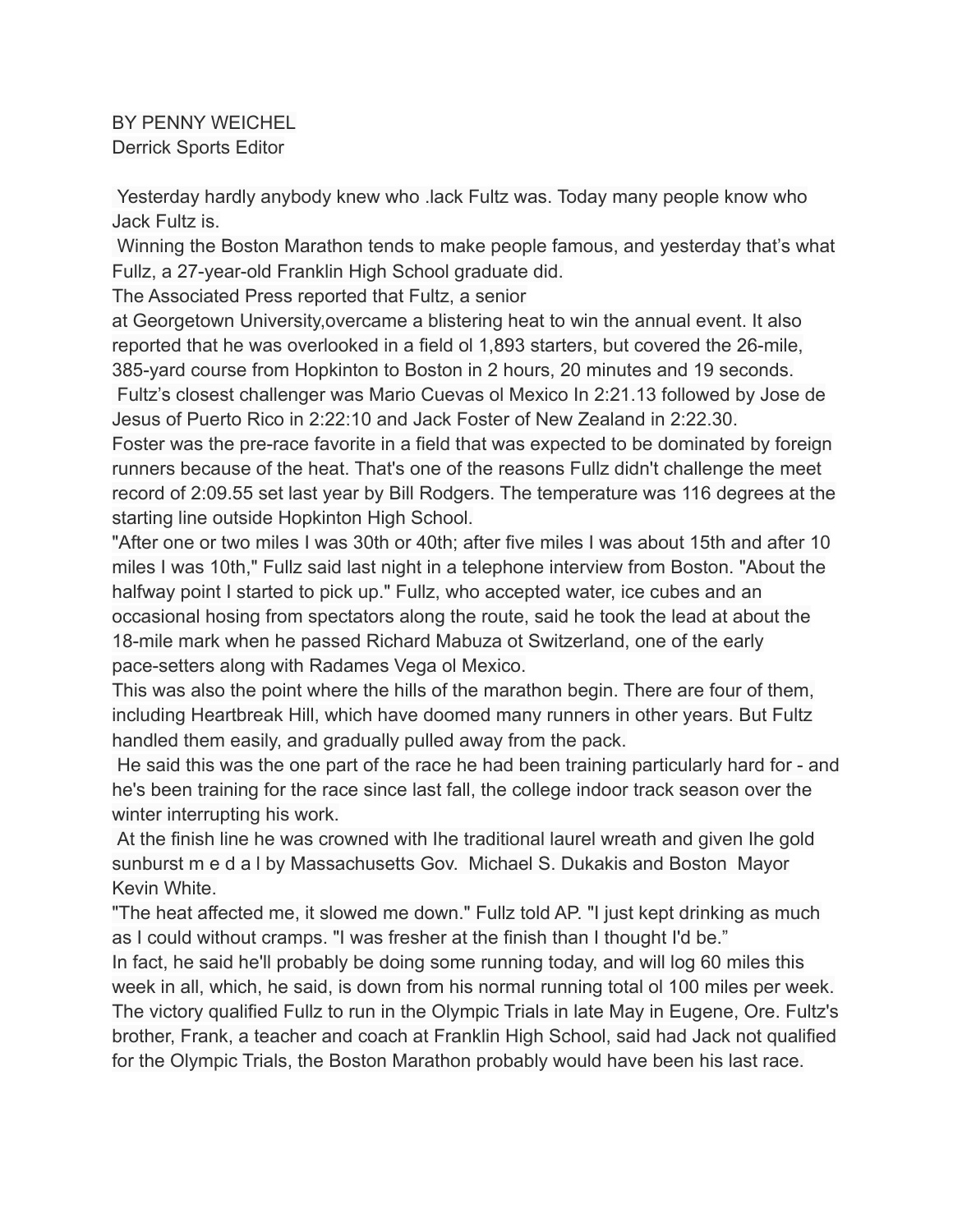BY PENNY WEICHEL Derrick Sports Editor

Yesterday hardly anybody knew who .lack Fultz was. Today many people know who Jack Fultz is.

Winning the Boston Marathon tends to make people famous, and yesterday that's what Fullz, a 27-year-old Franklin High School graduate did.

The Associated Press reported that Fultz, a senior

at Georgetown University,overcame a blistering heat to win the annual event. It also reported that he was overlooked in a field ol 1,893 starters, but covered the 26-mile, 385-yard course from Hopkinton to Boston in 2 hours, 20 minutes and 19 seconds.

Fultz's closest challenger was Mario Cuevas ol Mexico In 2:21.13 followed by Jose de Jesus of Puerto Rico in 2:22:10 and Jack Foster of New Zealand in 2:22.30.

Foster was the pre-race favorite in a field that was expected to be dominated by foreign runners because of the heat. That's one of the reasons Fullz didn't challenge the meet record of 2:09.55 set last year by Bill Rodgers. The temperature was 116 degrees at the starting line outside Hopkinton High School.

"After one or two miles I was 30th or 40th; after five miles I was about 15th and after 10 miles I was 10th," Fullz said last night in a telephone interview from Boston. "About the halfway point I started to pick up." Fullz, who accepted water, ice cubes and an occasional hosing from spectators along the route, said he took the lead at about the 18-mile mark when he passed Richard Mabuza ot Switzerland, one of the early pace-setters along with Radames Vega ol Mexico.

This was also the point where the hills of the marathon begin. There are four of them, including Heartbreak Hill, which have doomed many runners in other years. But Fultz handled them easily, and gradually pulled away from the pack.

He said this was the one part of the race he had been training particularly hard for - and he's been training for the race since last fall, the college indoor track season over the winter interrupting his work.

At the finish line he was crowned with Ihe traditional laurel wreath and given Ihe gold sunburst m e d a l by Massachusetts Gov. Michael S. Dukakis and Boston Mayor Kevin White.

"The heat affected me, it slowed me down." Fullz told AP. "I just kept drinking as much as I could without cramps. "I was fresher at the finish than I thought I'd be."

In fact, he said he'll probably be doing some running today, and will log 60 miles this week in all, which, he said, is down from his normal running total ol 100 miles per week. The victory qualified Fullz to run in the Olympic Trials in late May in Eugene, Ore. Fultz's brother, Frank, a teacher and coach at Franklin High School, said had Jack not qualified for the Olympic Trials, the Boston Marathon probably would have been his last race.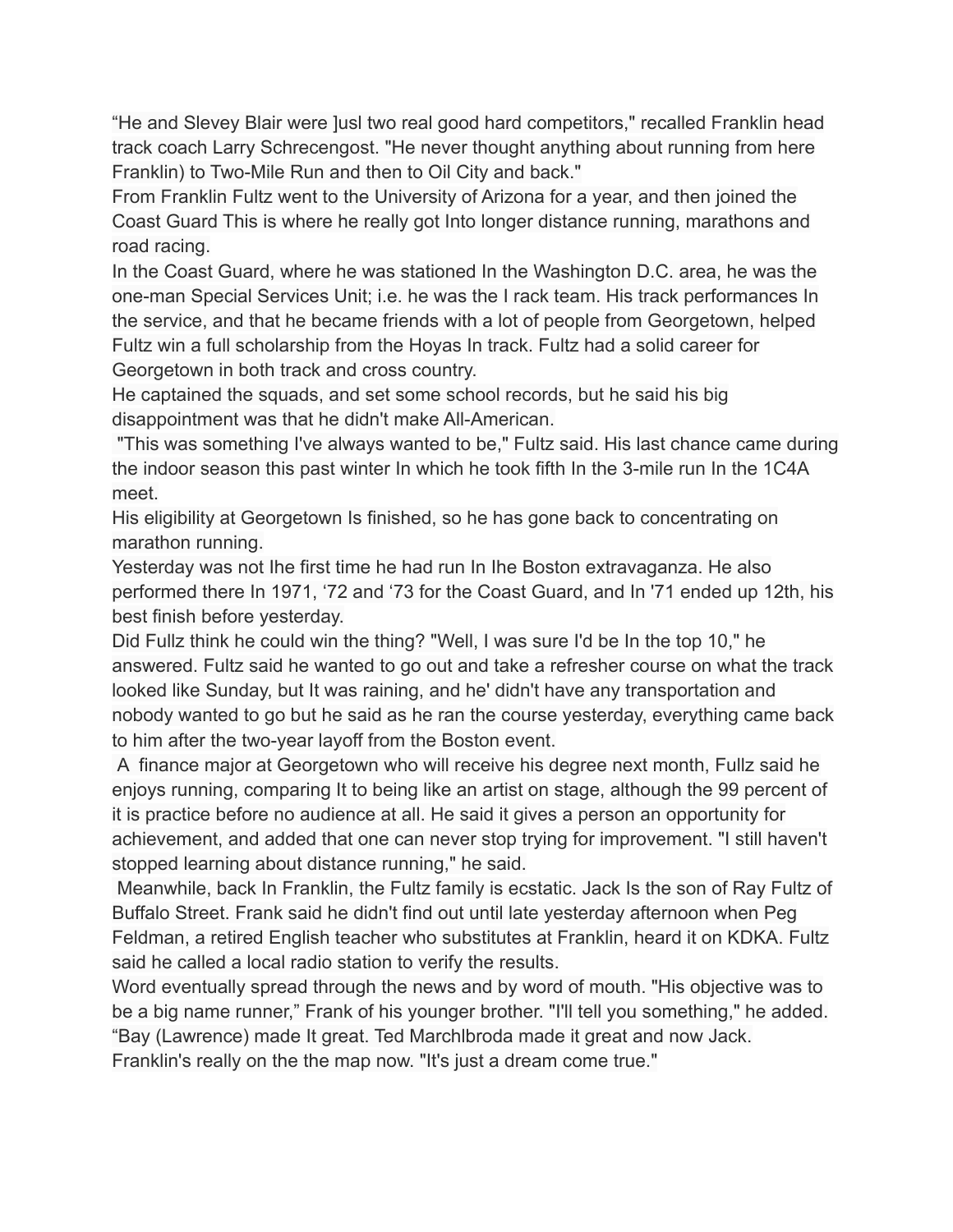"He and Slevey Blair were ]usl two real good hard competitors," recalled Franklin head track coach Larry Schrecengost. "He never thought anything about running from here Franklin) to Two-Mile Run and then to Oil City and back."

From Franklin Fultz went to the University of Arizona for a year, and then joined the Coast Guard This is where he really got Into longer distance running, marathons and road racing.

In the Coast Guard, where he was stationed In the Washington D.C. area, he was the one-man Special Services Unit; i.e. he was the I rack team. His track performances In the service, and that he became friends with a lot of people from Georgetown, helped Fultz win a full scholarship from the Hoyas In track. Fultz had a solid career for Georgetown in both track and cross country.

He captained the squads, and set some school records, but he said his big disappointment was that he didn't make All-American.

"This was something I've always wanted to be," Fultz said. His last chance came during the indoor season this past winter In which he took fifth In the 3-mile run In the 1C4A meet.

His eligibility at Georgetown Is finished, so he has gone back to concentrating on marathon running.

Yesterday was not Ihe first time he had run In Ihe Boston extravaganza. He also performed there In 1971, '72 and '73 for the Coast Guard, and In '71 ended up 12th, his best finish before yesterday.

Did Fullz think he could win the thing? "Well, I was sure I'd be In the top 10," he answered. Fultz said he wanted to go out and take a refresher course on what the track looked like Sunday, but It was raining, and he' didn't have any transportation and nobody wanted to go but he said as he ran the course yesterday, everything came back to him after the two-year layoff from the Boston event.

A finance major at Georgetown who will receive his degree next month, Fullz said he enjoys running, comparing It to being like an artist on stage, although the 99 percent of it is practice before no audience at all. He said it gives a person an opportunity for achievement, and added that one can never stop trying for improvement. "I still haven't stopped learning about distance running," he said.

Meanwhile, back In Franklin, the Fultz family is ecstatic. Jack Is the son of Ray Fultz of Buffalo Street. Frank said he didn't find out until late yesterday afternoon when Peg Feldman, a retired English teacher who substitutes at Franklin, heard it on KDKA. Fultz said he called a local radio station to verify the results.

Word eventually spread through the news and by word of mouth. "His objective was to be a big name runner," Frank of his younger brother. "I'll tell you something," he added. "Bay (Lawrence) made It great. Ted Marchlbroda made it great and now Jack.

Franklin's really on the the map now. "It's just a dream come true."